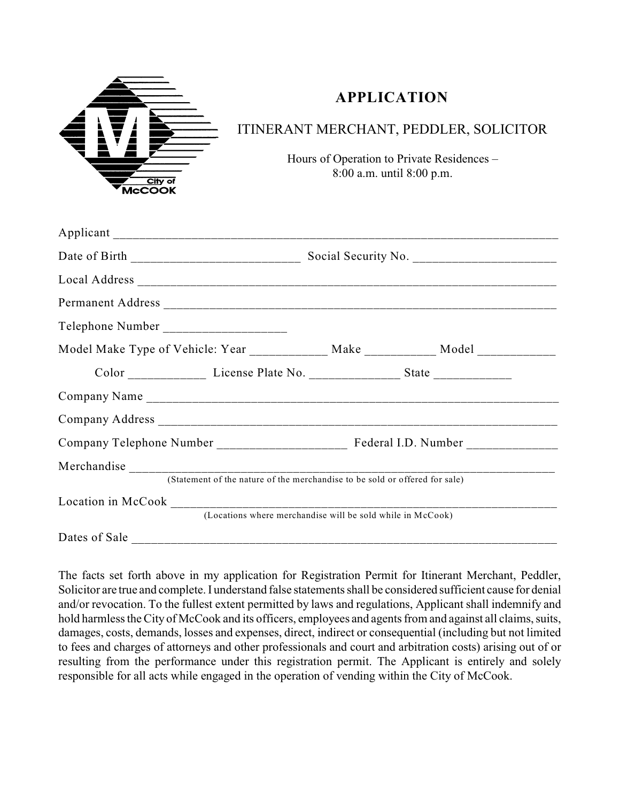

## **APPLICATION**

## ITINERANT MERCHANT, PEDDLER, SOLICITOR

Hours of Operation to Private Residences – 8:00 a.m. until 8:00 p.m.

| Model Make Type of Vehicle: Year _____________ Make ___________ Model __________ |  |  |
|----------------------------------------------------------------------------------|--|--|
| Color _______________ License Plate No. __________________ State _______________ |  |  |
|                                                                                  |  |  |
|                                                                                  |  |  |
|                                                                                  |  |  |
| (Statement of the nature of the merchandise to be sold or offered for sale)      |  |  |
| (Locations where merchandise will be sold while in McCook)                       |  |  |
| Dates of Sale                                                                    |  |  |

The facts set forth above in my application for Registration Permit for Itinerant Merchant, Peddler, Solicitor are true and complete. I understand false statements shall be considered sufficient cause for denial and/or revocation. To the fullest extent permitted by laws and regulations, Applicant shall indemnify and hold harmless the City of McCook and its officers, employees and agents from and against all claims, suits, damages, costs, demands, losses and expenses, direct, indirect or consequential (including but not limited to fees and charges of attorneys and other professionals and court and arbitration costs) arising out of or resulting from the performance under this registration permit. The Applicant is entirely and solely responsible for all acts while engaged in the operation of vending within the City of McCook.